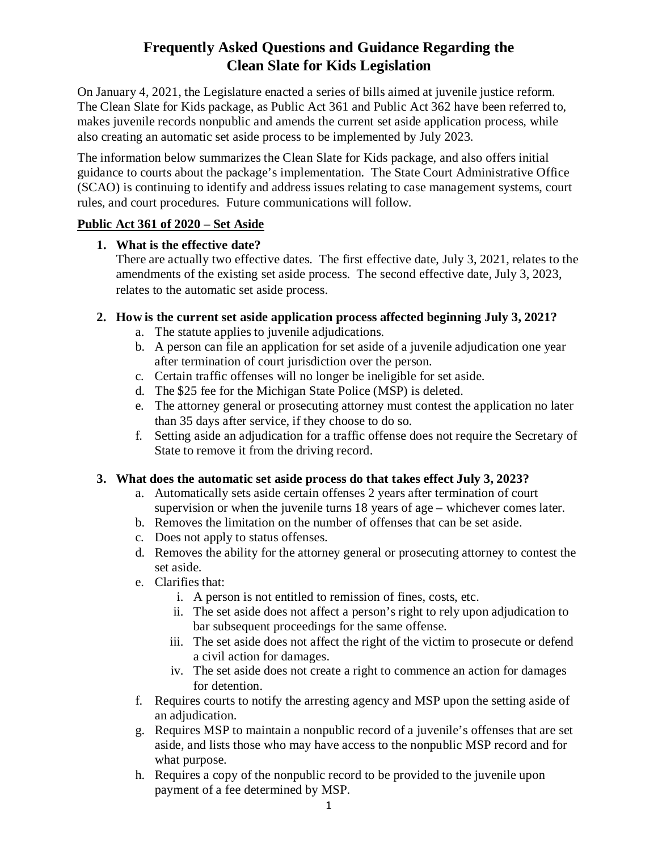# **Frequently Asked Questions and Guidance Regarding the Clean Slate for Kids Legislation**

On January 4, 2021, the Legislature enacted a series of bills aimed at juvenile justice reform. The Clean Slate for Kids package, as Public Act 361 and Public Act 362 have been referred to, makes juvenile records nonpublic and amends the current set aside application process, while also creating an automatic set aside process to be implemented by July 2023.

The information below summarizes the Clean Slate for Kids package, and also offers initial guidance to courts about the package's implementation. The State Court Administrative Office (SCAO) is continuing to identify and address issues relating to case management systems, court rules, and court procedures. Future communications will follow.

### **Public Act 361 of 2020 – Set Aside**

### **1. What is the effective date?**

There are actually two effective dates. The first effective date, July 3, 2021, relates to the amendments of the existing set aside process. The second effective date, July 3, 2023, relates to the automatic set aside process.

# **2. How is the current set aside application process affected beginning July 3, 2021?**

- a. The statute applies to juvenile adjudications.
- b. A person can file an application for set aside of a juvenile adjudication one year after termination of court jurisdiction over the person.
- c. Certain traffic offenses will no longer be ineligible for set aside.
- d. The \$25 fee for the Michigan State Police (MSP) is deleted.
- e. The attorney general or prosecuting attorney must contest the application no later than 35 days after service, if they choose to do so.
- f. Setting aside an adjudication for a traffic offense does not require the Secretary of State to remove it from the driving record.

# **3. What does the automatic set aside process do that takes effect July 3, 2023?**

- a. Automatically sets aside certain offenses 2 years after termination of court supervision or when the juvenile turns 18 years of age – whichever comes later.
- b. Removes the limitation on the number of offenses that can be set aside.
- c. Does not apply to status offenses.
- d. Removes the ability for the attorney general or prosecuting attorney to contest the set aside.
- e. Clarifies that:
	- i. A person is not entitled to remission of fines, costs, etc.
	- ii. The set aside does not affect a person's right to rely upon adjudication to bar subsequent proceedings for the same offense.
	- iii. The set aside does not affect the right of the victim to prosecute or defend a civil action for damages.
	- iv. The set aside does not create a right to commence an action for damages for detention.
- f. Requires courts to notify the arresting agency and MSP upon the setting aside of an adjudication.
- g. Requires MSP to maintain a nonpublic record of a juvenile's offenses that are set aside, and lists those who may have access to the nonpublic MSP record and for what purpose.
- h. Requires a copy of the nonpublic record to be provided to the juvenile upon payment of a fee determined by MSP.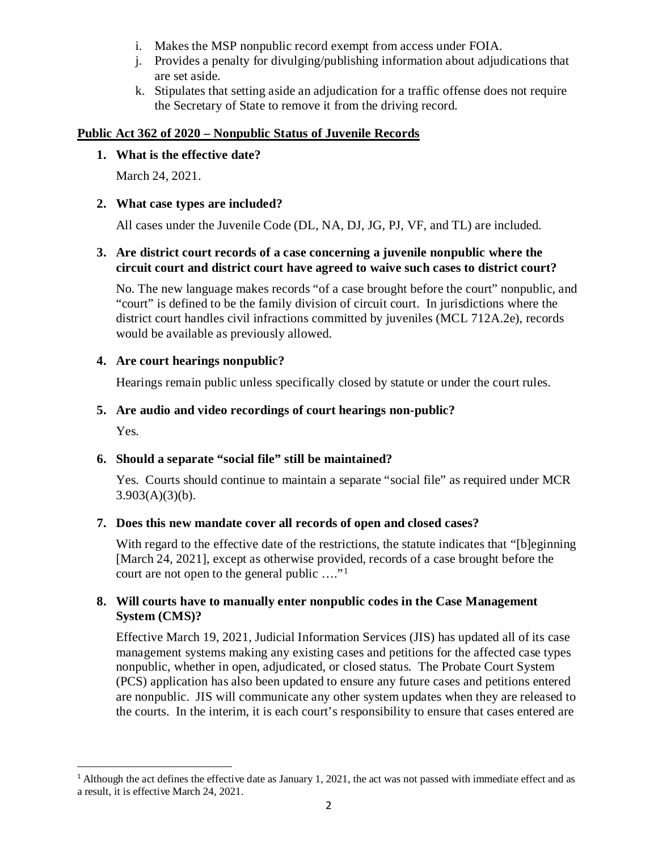- i. Makes the MSP nonpublic record exempt from access under FOIA.
- j. Provides a penalty for divulging/publishing information about adjudications that are set aside.
- k. Stipulates that setting aside an adjudication for a traffic offense does not require the Secretary of State to remove it from the driving record.

#### **Public Act 362 of 2020 – Nonpublic Status of Juvenile Records**

#### **1. What is the effective date?**

March 24, 2021.

#### **2. What case types are included?**

All cases under the Juvenile Code (DL, NA, DJ, JG, PJ, VF, and TL) are included.

#### **3. Are district court records of a case concerning a juvenile nonpublic where the circuit court and district court have agreed to waive such cases to district court?**

No. The new language makes records "of a case brought before the court" nonpublic, and "court" is defined to be the family division of circuit court. In jurisdictions where the district court handles civil infractions committed by juveniles (MCL 712A.2e), records would be available as previously allowed.

### **4. Are court hearings nonpublic?**

Hearings remain public unless specifically closed by statute or under the court rules.

### **5. Are audio and video recordings of court hearings non-public?**

Yes.

# **6. Should a separate "social file" still be maintained?**

Yes. Courts should continue to maintain a separate "social file" as required under MCR  $3.903(A)(3)(b)$ .

#### **7. Does this new mandate cover all records of open and closed cases?**

With regard to the effective date of the restrictions, the statute indicates that "[b]eginning [March 24, 2021], except as otherwise provided, records of a case brought before the court are not open to the general public …."[1](#page-1-0)

#### **8. Will courts have to manually enter nonpublic codes in the Case Management System (CMS)?**

Effective March 19, 2021, Judicial Information Services (JIS) has updated all of its case management systems making any existing cases and petitions for the affected case types nonpublic, whether in open, adjudicated, or closed status. The Probate Court System (PCS) application has also been updated to ensure any future cases and petitions entered are nonpublic. JIS will communicate any other system updates when they are released to the courts. In the interim, it is each court's responsibility to ensure that cases entered are

<span id="page-1-0"></span><sup>&</sup>lt;sup>1</sup> Although the act defines the effective date as January 1, 2021, the act was not passed with immediate effect and as a result, it is effective March 24, 2021.